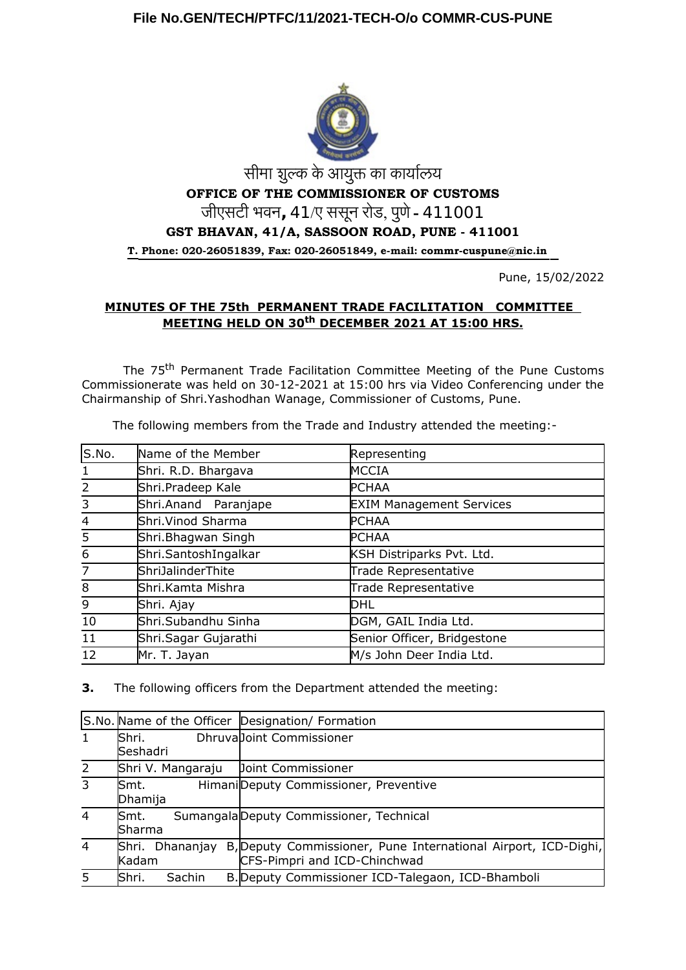

# सीमा शुल्क के आयुक्त का कार्यालय **OFFICE OF THE COMMISSIONER OF CUSTOMS** जीएसटी भवन**,** 41/ए ससून रोड, पुणे - 411001 **GST BHAVAN, 41/A, SASSOON ROAD, PUNE - 411001 T. Phone: 020-26051839, Fax: 020-26051849, e-mail: commr-cuspune@nic.in**

Pune, 15/02/2022

# **MINUTES OF THE 75th PERMANENT TRADE FACILITATION COMMITTEE MEETING HELD ON 30th DECEMBER 2021 AT 15:00 HRS.**

The 75<sup>th</sup> Permanent Trade Facilitation Committee Meeting of the Pune Customs Commissionerate was held on 30-12-2021 at 15:00 hrs via Video Conferencing under the Chairmanship of Shri.Yashodhan Wanage, Commissioner of Customs, Pune.

The following members from the Trade and Industry attended the meeting:-

| S.No.          | Name of the Member   | Representing                    |
|----------------|----------------------|---------------------------------|
| 1              | Shri. R.D. Bhargava  | MCCIA                           |
| 2              | Shri.Pradeep Kale    | <b>PCHAA</b>                    |
| $\overline{3}$ | Shri.Anand Paranjape | <b>EXIM Management Services</b> |
| $\overline{4}$ | Shri. Vinod Sharma   | <b>PCHAA</b>                    |
| 5              | Shri.Bhagwan Singh   | <b>PCHAA</b>                    |
| 6              | Shri.SantoshIngalkar | KSH Distriparks Pvt. Ltd.       |
| $\overline{7}$ | ShriJalinderThite    | Trade Representative            |
| $\overline{8}$ | Shri.Kamta Mishra    | Trade Representative            |
| 9              | Shri. Ajay           | DHL                             |
| 10             | Shri.Subandhu Sinha  | DGM, GAIL India Ltd.            |
| 11             | Shri Sagar Gujarathi | Senior Officer, Bridgestone     |
| 12             | Mr. T. Jayan         | M/s John Deer India Ltd.        |

**3.** The following officers from the Department attended the meeting:

|                |                          |        | S.No. Name of the Officer Designation/ Formation                                               |
|----------------|--------------------------|--------|------------------------------------------------------------------------------------------------|
| 1              | Shri.<br>Seshadri        |        | Dhruvalloint Commissioner                                                                      |
| $\overline{2}$ | Shri V. Mangaraju        |        | Doint Commissioner                                                                             |
| 3              | lSmt.<br>Dhamija         |        | Himani Deputy Commissioner, Preventive                                                         |
| $\overline{4}$ | Smt.<br>Sharma           |        | Sumangala Deputy Commissioner, Technical                                                       |
| $\overline{4}$ | Shri. Dhananjay<br>Kadam |        | B, Deputy Commissioner, Pune International Airport, ICD-Dighi,<br>CFS-Pimpri and ICD-Chinchwad |
| 5              | lShri.                   | Sachin | B. Deputy Commissioner ICD-Talegaon, ICD-Bhamboli                                              |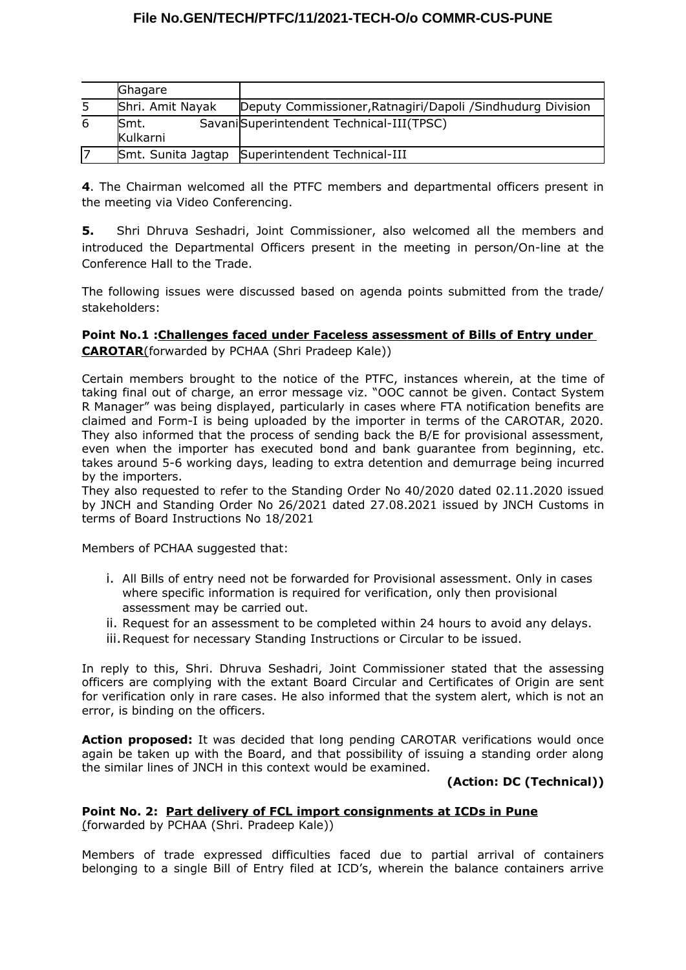|   | Ghagare          |                                                             |
|---|------------------|-------------------------------------------------------------|
| 5 | Shri. Amit Nayak | Deputy Commissioner, Ratnagiri/Dapoli / Sindhudurg Division |
| 6 | Smt.<br>Kulkarni | SavaniSuperintendent Technical-III(TPSC)                    |
|   |                  | Smt. Sunita Jagtap Superintendent Technical-III             |

**4**. The Chairman welcomed all the PTFC members and departmental officers present in the meeting via Video Conferencing.

**5.** Shri Dhruva Seshadri, Joint Commissioner, also welcomed all the members and introduced the Departmental Officers present in the meeting in person/On-line at the Conference Hall to the Trade.

The following issues were discussed based on agenda points submitted from the trade/ stakeholders:

# **Point No.1 :Challenges faced under Faceless assessment of Bills of Entry under CAROTAR**(forwarded by PCHAA (Shri Pradeep Kale))

Certain members brought to the notice of the PTFC, instances wherein, at the time of taking final out of charge, an error message viz. "OOC cannot be given. Contact System R Manager" was being displayed, particularly in cases where FTA notification benefits are claimed and Form-I is being uploaded by the importer in terms of the CAROTAR, 2020. They also informed that the process of sending back the B/E for provisional assessment, even when the importer has executed bond and bank guarantee from beginning, etc. takes around 5-6 working days, leading to extra detention and demurrage being incurred by the importers.

They also requested to refer to the Standing Order No 40/2020 dated 02.11.2020 issued by JNCH and Standing Order No 26/2021 dated 27.08.2021 issued by JNCH Customs in terms of Board Instructions No 18/2021

Members of PCHAA suggested that:

- i. All Bills of entry need not be forwarded for Provisional assessment. Only in cases where specific information is required for verification, only then provisional assessment may be carried out.
- ii. Request for an assessment to be completed within 24 hours to avoid any delays.
- iii.Request for necessary Standing Instructions or Circular to be issued.

In reply to this, Shri. Dhruva Seshadri, Joint Commissioner stated that the assessing officers are complying with the extant Board Circular and Certificates of Origin are sent for verification only in rare cases. He also informed that the system alert, which is not an error, is binding on the officers.

**Action proposed:** It was decided that long pending CAROTAR verifications would once again be taken up with the Board, and that possibility of issuing a standing order along the similar lines of JNCH in this context would be examined.

#### **(Action: DC (Technical))**

# **Point No. 2: Part delivery of FCL import consignments at ICDs in Pune**

(forwarded by PCHAA (Shri. Pradeep Kale))

Members of trade expressed difficulties faced due to partial arrival of containers belonging to a single Bill of Entry filed at ICD's, wherein the balance containers arrive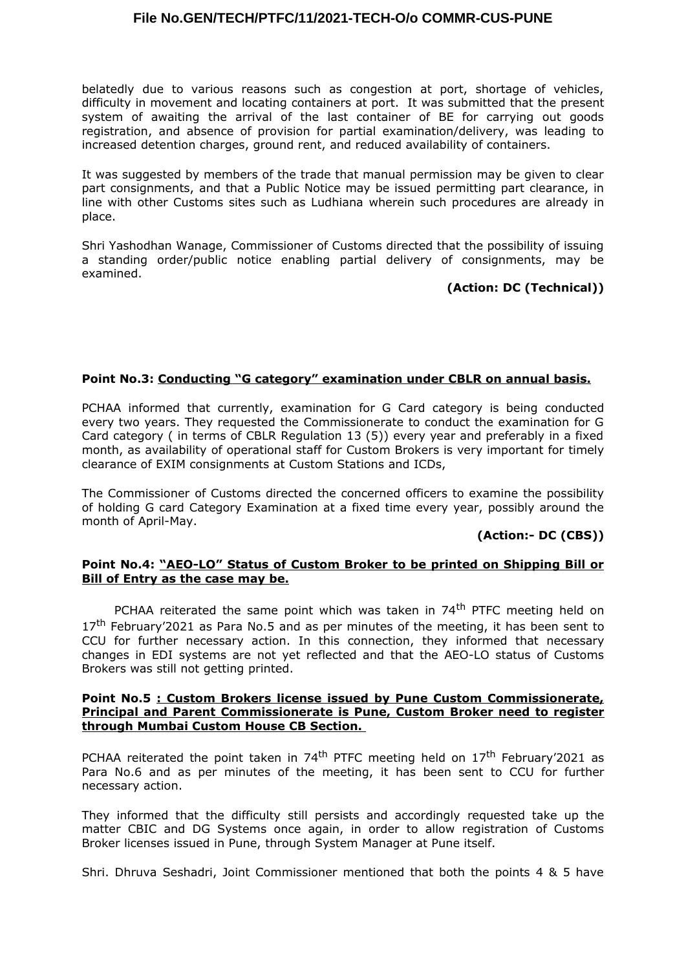belatedly due to various reasons such as congestion at port, shortage of vehicles, difficulty in movement and locating containers at port. It was submitted that the present system of awaiting the arrival of the last container of BE for carrying out goods registration, and absence of provision for partial examination/delivery, was leading to increased detention charges, ground rent, and reduced availability of containers.

It was suggested by members of the trade that manual permission may be given to clear part consignments, and that a Public Notice may be issued permitting part clearance, in line with other Customs sites such as Ludhiana wherein such procedures are already in place.

Shri Yashodhan Wanage, Commissioner of Customs directed that the possibility of issuing a standing order/public notice enabling partial delivery of consignments, may be examined.

### **(Action: DC (Technical))**

### **Point No.3: Conducting "G category" examination under CBLR on annual basis.**

PCHAA informed that currently, examination for G Card category is being conducted every two years. They requested the Commissionerate to conduct the examination for G Card category ( in terms of CBLR Regulation 13 (5)) every year and preferably in a fixed month, as availability of operational staff for Custom Brokers is very important for timely clearance of EXIM consignments at Custom Stations and ICDs,

The Commissioner of Customs directed the concerned officers to examine the possibility of holding G card Category Examination at a fixed time every year, possibly around the month of April-May.

### **(Action:- DC (CBS))**

### **Point No.4: "AEO-LO" Status of Custom Broker to be printed on Shipping Bill or Bill of Entry as the case may be.**

PCHAA reiterated the same point which was taken in 74<sup>th</sup> PTFC meeting held on  $17<sup>th</sup>$  February'2021 as Para No.5 and as per minutes of the meeting, it has been sent to CCU for further necessary action. In this connection, they informed that necessary changes in EDI systems are not yet reflected and that the AEO-LO status of Customs Brokers was still not getting printed.

#### **Point No.5 : Custom Brokers license issued by Pune Custom Commissionerate, Principal and Parent Commissionerate is Pune, Custom Broker need to register through Mumbai Custom House CB Section.**

PCHAA reiterated the point taken in 74<sup>th</sup> PTFC meeting held on  $17<sup>th</sup>$  February'2021 as Para No.6 and as per minutes of the meeting, it has been sent to CCU for further necessary action.

They informed that the difficulty still persists and accordingly requested take up the matter CBIC and DG Systems once again, in order to allow registration of Customs Broker licenses issued in Pune, through System Manager at Pune itself.

Shri. Dhruva Seshadri, Joint Commissioner mentioned that both the points 4 & 5 have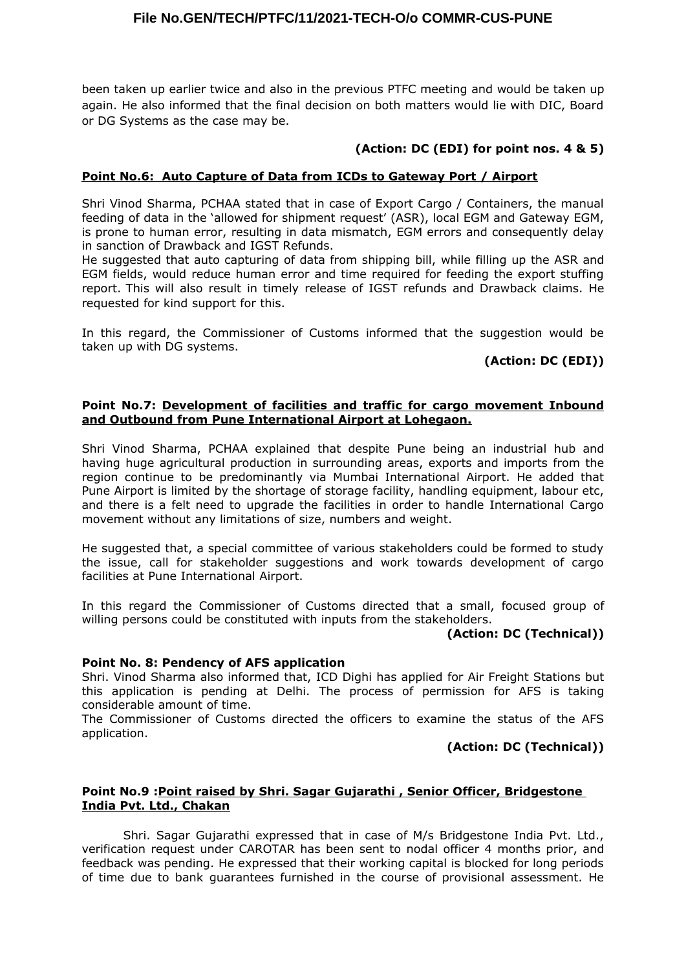been taken up earlier twice and also in the previous PTFC meeting and would be taken up again. He also informed that the final decision on both matters would lie with DIC, Board or DG Systems as the case may be.

# **(Action: DC (EDI) for point nos. 4 & 5)**

### **Point No.6: Auto Capture of Data from ICDs to Gateway Port / Airport**

Shri Vinod Sharma, PCHAA stated that in case of Export Cargo / Containers, the manual feeding of data in the 'allowed for shipment request' (ASR), local EGM and Gateway EGM, is prone to human error, resulting in data mismatch, EGM errors and consequently delay in sanction of Drawback and IGST Refunds.

He suggested that auto capturing of data from shipping bill, while filling up the ASR and EGM fields, would reduce human error and time required for feeding the export stuffing report. This will also result in timely release of IGST refunds and Drawback claims. He requested for kind support for this.

In this regard, the Commissioner of Customs informed that the suggestion would be taken up with DG systems.

# **(Action: DC (EDI))**

### **Point No.7: Development of facilities and traffic for cargo movement Inbound and Outbound from Pune International Airport at Lohegaon.**

Shri Vinod Sharma, PCHAA explained that despite Pune being an industrial hub and having huge agricultural production in surrounding areas, exports and imports from the region continue to be predominantly via Mumbai International Airport. He added that Pune Airport is limited by the shortage of storage facility, handling equipment, labour etc, and there is a felt need to upgrade the facilities in order to handle International Cargo movement without any limitations of size, numbers and weight.

He suggested that, a special committee of various stakeholders could be formed to study the issue, call for stakeholder suggestions and work towards development of cargo facilities at Pune International Airport.

In this regard the Commissioner of Customs directed that a small, focused group of willing persons could be constituted with inputs from the stakeholders.

#### **(Action: DC (Technical))**

#### **Point No. 8: Pendency of AFS application**

Shri. Vinod Sharma also informed that, ICD Dighi has applied for Air Freight Stations but this application is pending at Delhi. The process of permission for AFS is taking considerable amount of time.

The Commissioner of Customs directed the officers to examine the status of the AFS application.

#### **(Action: DC (Technical))**

#### **Point No.9 :Point raised by Shri. Sagar Gujarathi , Senior Officer, Bridgestone India Pvt. Ltd., Chakan**

Shri. Sagar Gujarathi expressed that in case of M/s Bridgestone India Pvt. Ltd., verification request under CAROTAR has been sent to nodal officer 4 months prior, and feedback was pending. He expressed that their working capital is blocked for long periods of time due to bank guarantees furnished in the course of provisional assessment. He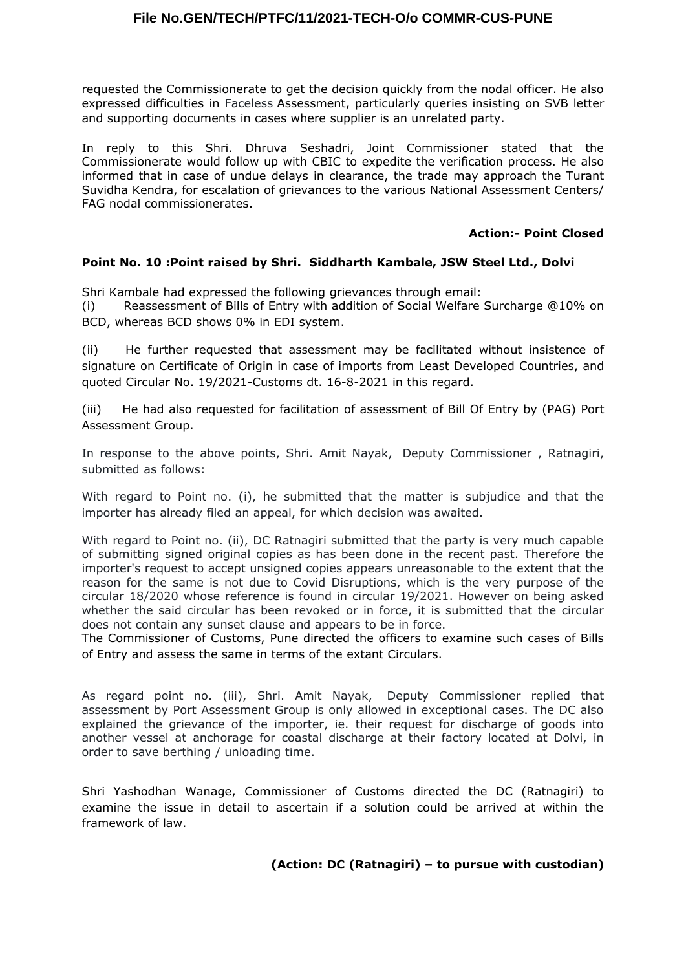requested the Commissionerate to get the decision quickly from the nodal officer. He also expressed difficulties in Faceless Assessment, particularly queries insisting on SVB letter and supporting documents in cases where supplier is an unrelated party.

In reply to this Shri. Dhruva Seshadri, Joint Commissioner stated that the Commissionerate would follow up with CBIC to expedite the verification process. He also informed that in case of undue delays in clearance, the trade may approach the Turant Suvidha Kendra, for escalation of grievances to the various National Assessment Centers/ FAG nodal commissionerates.

# **Action:- Point Closed**

# **Point No. 10 :Point raised by Shri. Siddharth Kambale, JSW Steel Ltd., Dolvi**

Shri Kambale had expressed the following grievances through email:

(i) Reassessment of Bills of Entry with addition of Social Welfare Surcharge @10% on BCD, whereas BCD shows 0% in EDI system.

(ii) He further requested that assessment may be facilitated without insistence of signature on Certificate of Origin in case of imports from Least Developed Countries, and quoted Circular No. 19/2021-Customs dt. 16-8-2021 in this regard.

(iii) He had also requested for facilitation of assessment of Bill Of Entry by (PAG) Port Assessment Group.

In response to the above points, Shri. Amit Nayak, Deputy Commissioner , Ratnagiri, submitted as follows:

With regard to Point no. (i), he submitted that the matter is subjudice and that the importer has already filed an appeal, for which decision was awaited.

With regard to Point no. (ii), DC Ratnagiri submitted that the party is very much capable of submitting signed original copies as has been done in the recent past. Therefore the importer's request to accept unsigned copies appears unreasonable to the extent that the reason for the same is not due to Covid Disruptions, which is the very purpose of the circular 18/2020 whose reference is found in circular 19/2021. However on being asked whether the said circular has been revoked or in force, it is submitted that the circular does not contain any sunset clause and appears to be in force.

The Commissioner of Customs, Pune directed the officers to examine such cases of Bills of Entry and assess the same in terms of the extant Circulars.

As regard point no. (iii), Shri. Amit Nayak, Deputy Commissioner replied that assessment by Port Assessment Group is only allowed in exceptional cases. The DC also explained the grievance of the importer, ie. their request for discharge of goods into another vessel at anchorage for coastal discharge at their factory located at Dolvi, in order to save berthing / unloading time.

Shri Yashodhan Wanage, Commissioner of Customs directed the DC (Ratnagiri) to examine the issue in detail to ascertain if a solution could be arrived at within the framework of law.

# **(Action: DC (Ratnagiri) – to pursue with custodian)**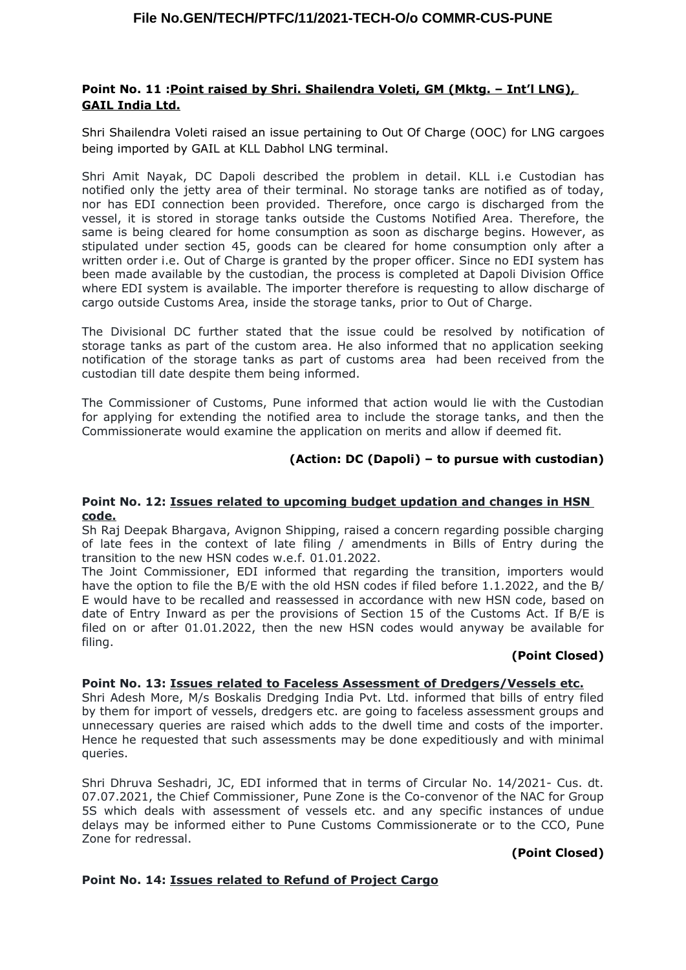# **Point No. 11 :Point raised by Shri. Shailendra Voleti, GM (Mktg. – Int'l LNG), GAIL India Ltd.**

Shri Shailendra Voleti raised an issue pertaining to Out Of Charge (OOC) for LNG cargoes being imported by GAIL at KLL Dabhol LNG terminal.

Shri Amit Nayak, DC Dapoli described the problem in detail. KLL i.e Custodian has notified only the jetty area of their terminal. No storage tanks are notified as of today, nor has EDI connection been provided. Therefore, once cargo is discharged from the vessel, it is stored in storage tanks outside the Customs Notified Area. Therefore, the same is being cleared for home consumption as soon as discharge begins. However, as stipulated under section 45, goods can be cleared for home consumption only after a written order i.e. Out of Charge is granted by the proper officer. Since no EDI system has been made available by the custodian, the process is completed at Dapoli Division Office where EDI system is available. The importer therefore is requesting to allow discharge of cargo outside Customs Area, inside the storage tanks, prior to Out of Charge.

The Divisional DC further stated that the issue could be resolved by notification of storage tanks as part of the custom area. He also informed that no application seeking notification of the storage tanks as part of customs area had been received from the custodian till date despite them being informed.

The Commissioner of Customs, Pune informed that action would lie with the Custodian for applying for extending the notified area to include the storage tanks, and then the Commissionerate would examine the application on merits and allow if deemed fit.

# **(Action: DC (Dapoli) – to pursue with custodian)**

#### **Point No. 12: Issues related to upcoming budget updation and changes in HSN code.**

Sh Raj Deepak Bhargava, Avignon Shipping, raised a concern regarding possible charging of late fees in the context of late filing / amendments in Bills of Entry during the transition to the new HSN codes w.e.f. 01.01.2022.

The Joint Commissioner, EDI informed that regarding the transition, importers would have the option to file the B/E with the old HSN codes if filed before 1.1.2022, and the B/ E would have to be recalled and reassessed in accordance with new HSN code, based on date of Entry Inward as per the provisions of Section 15 of the Customs Act. If B/E is filed on or after 01.01.2022, then the new HSN codes would anyway be available for filing.

#### **(Point Closed)**

#### **Point No. 13: Issues related to Faceless Assessment of Dredgers/Vessels etc.**

Shri Adesh More, M/s Boskalis Dredging India Pvt. Ltd. informed that bills of entry filed by them for import of vessels, dredgers etc. are going to faceless assessment groups and unnecessary queries are raised which adds to the dwell time and costs of the importer. Hence he requested that such assessments may be done expeditiously and with minimal queries.

Shri Dhruva Seshadri, JC, EDI informed that in terms of Circular No. 14/2021- Cus. dt. 07.07.2021, the Chief Commissioner, Pune Zone is the Co-convenor of the NAC for Group 5S which deals with assessment of vessels etc. and any specific instances of undue delays may be informed either to Pune Customs Commissionerate or to the CCO, Pune Zone for redressal.

#### **(Point Closed)**

#### **Point No. 14: Issues related to Refund of Project Cargo**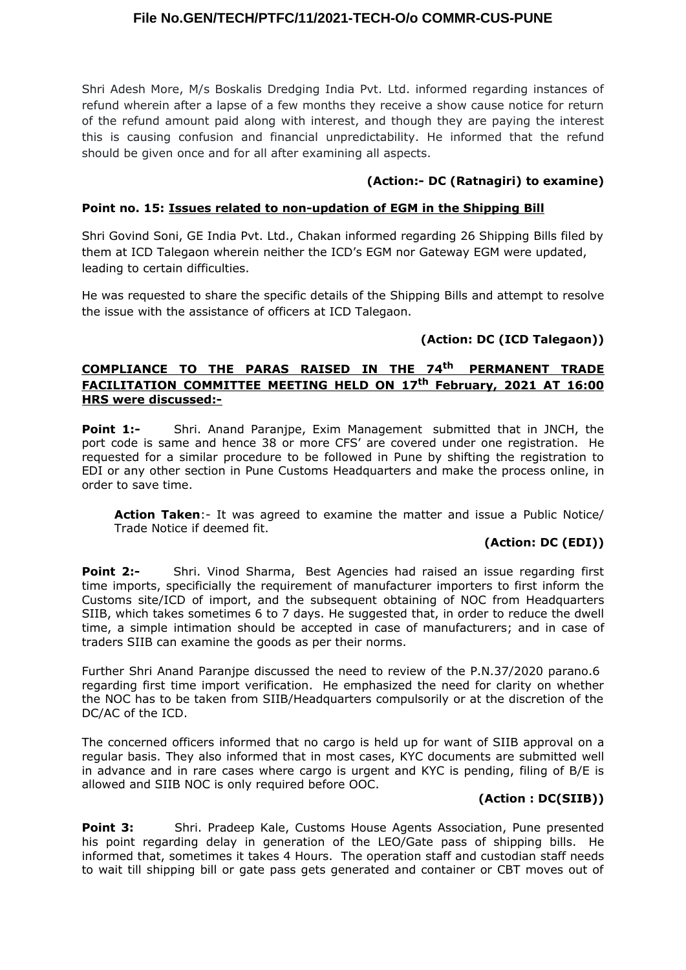Shri Adesh More, M/s Boskalis Dredging India Pvt. Ltd. informed regarding instances of refund wherein after a lapse of a few months they receive a show cause notice for return of the refund amount paid along with interest, and though they are paying the interest this is causing confusion and financial unpredictability. He informed that the refund should be given once and for all after examining all aspects.

### **(Action:- DC (Ratnagiri) to examine)**

### **Point no. 15: Issues related to non-updation of EGM in the Shipping Bill**

Shri Govind Soni, GE India Pvt. Ltd., Chakan informed regarding 26 Shipping Bills filed by them at ICD Talegaon wherein neither the ICD's EGM nor Gateway EGM were updated, leading to certain difficulties.

He was requested to share the specific details of the Shipping Bills and attempt to resolve the issue with the assistance of officers at ICD Talegaon.

# **(Action: DC (ICD Talegaon))**

# **COMPLIANCE TO THE PARAS RAISED IN THE 74th PERMANENT TRADE FACILITATION COMMITTEE MEETING HELD ON 17th February, 2021 AT 16:00 HRS were discussed:-**

**Point 1:-** Shri. Anand Paranjpe, Exim Management submitted that in JNCH, the port code is same and hence 38 or more CFS' are covered under one registration. He requested for a similar procedure to be followed in Pune by shifting the registration to EDI or any other section in Pune Customs Headquarters and make the process online, in order to save time.

**Action Taken**:- It was agreed to examine the matter and issue a Public Notice/ Trade Notice if deemed fit.

# **(Action: DC (EDI))**

**Point 2:-** Shri. Vinod Sharma, Best Agencies had raised an issue regarding first time imports, specificially the requirement of manufacturer importers to first inform the Customs site/ICD of import, and the subsequent obtaining of NOC from Headquarters SIIB, which takes sometimes 6 to 7 days. He suggested that, in order to reduce the dwell time, a simple intimation should be accepted in case of manufacturers; and in case of traders SIIB can examine the goods as per their norms.

Further Shri Anand Paranjpe discussed the need to review of the P.N.37/2020 parano.6 regarding first time import verification. He emphasized the need for clarity on whether the NOC has to be taken from SIIB/Headquarters compulsorily or at the discretion of the DC/AC of the ICD.

The concerned officers informed that no cargo is held up for want of SIIB approval on a regular basis. They also informed that in most cases, KYC documents are submitted well in advance and in rare cases where cargo is urgent and KYC is pending, filing of B/E is allowed and SIIB NOC is only required before OOC.

# **(Action : DC(SIIB))**

**Point 3:** Shri. Pradeep Kale, Customs House Agents Association, Pune presented his point regarding delay in generation of the LEO/Gate pass of shipping bills. He informed that, sometimes it takes 4 Hours. The operation staff and custodian staff needs to wait till shipping bill or gate pass gets generated and container or CBT moves out of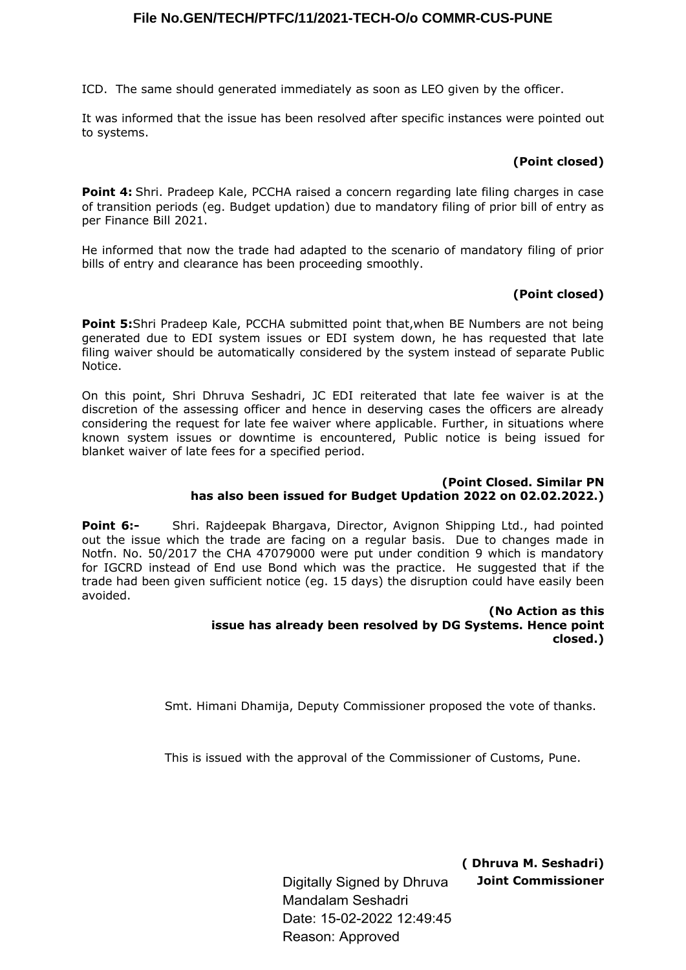ICD. The same should generated immediately as soon as LEO given by the officer.

It was informed that the issue has been resolved after specific instances were pointed out to systems.

# **(Point closed)**

**Point 4:** Shri. Pradeep Kale, PCCHA raised a concern regarding late filing charges in case of transition periods (eg. Budget updation) due to mandatory filing of prior bill of entry as per Finance Bill 2021.

He informed that now the trade had adapted to the scenario of mandatory filing of prior bills of entry and clearance has been proceeding smoothly.

# **(Point closed)**

**Point 5:**Shri Pradeep Kale, PCCHA submitted point that,when BE Numbers are not being generated due to EDI system issues or EDI system down, he has requested that late filing waiver should be automatically considered by the system instead of separate Public Notice.

On this point, Shri Dhruva Seshadri, JC EDI reiterated that late fee waiver is at the discretion of the assessing officer and hence in deserving cases the officers are already considering the request for late fee waiver where applicable. Further, in situations where known system issues or downtime is encountered, Public notice is being issued for blanket waiver of late fees for a specified period.

### **(Point Closed. Similar PN has also been issued for Budget Updation 2022 on 02.02.2022.)**

**Point 6:-** Shri. Rajdeepak Bhargava, Director, Avignon Shipping Ltd., had pointed out the issue which the trade are facing on a regular basis. Due to changes made in Notfn. No. 50/2017 the CHA 47079000 were put under condition 9 which is mandatory for IGCRD instead of End use Bond which was the practice. He suggested that if the trade had been given sufficient notice (eg. 15 days) the disruption could have easily been avoided.

#### **(No Action as this issue has already been resolved by DG Systems. Hence point closed.)**

Smt. Himani Dhamija, Deputy Commissioner proposed the vote of thanks.

This is issued with the approval of the Commissioner of Customs, Pune.

**( Dhruva M. Seshadri) Joint Commissioner**

Digitally Signed by Dhruva Mandalam Seshadri Date: 15-02-2022 12:49:45 Reason: Approved